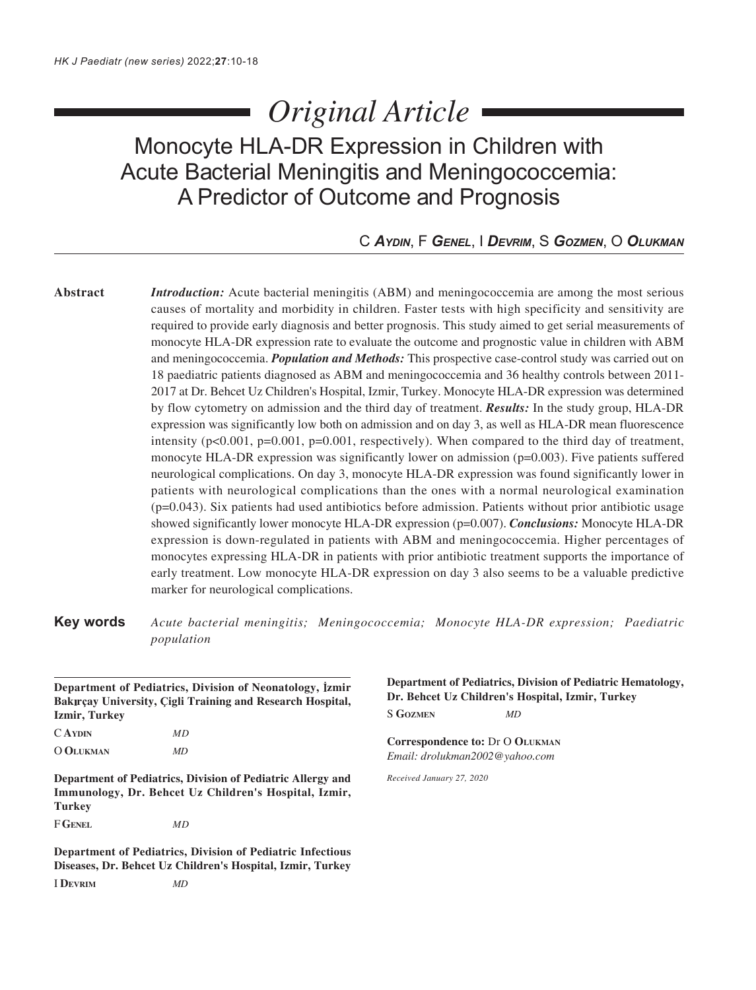# *Original Article*

# Monocyte HLA-DR Expression in Children with Acute Bacterial Meningitis and Meningococcemia: A Predictor of Outcome and Prognosis

# C *AYDIN*, F *GENEL*, I *DEVRIM*, S *GOZMEN*, O *OLUKMAN*

**Abstract** *Introduction:* Acute bacterial meningitis (ABM) and meningococcemia are among the most serious causes of mortality and morbidity in children. Faster tests with high specificity and sensitivity are required to provide early diagnosis and better prognosis. This study aimed to get serial measurements of monocyte HLA-DR expression rate to evaluate the outcome and prognostic value in children with ABM and meningococcemia. *Population and Methods:* This prospective case-control study was carried out on 18 paediatric patients diagnosed as ABM and meningococcemia and 36 healthy controls between 2011- 2017 at Dr. Behcet Uz Children's Hospital, Izmir, Turkey. Monocyte HLA-DR expression was determined by flow cytometry on admission and the third day of treatment. *Results:* In the study group, HLA-DR expression was significantly low both on admission and on day 3, as well as HLA-DR mean fluorescence intensity  $(p<0.001, p=0.001, p=0.001,$  respectively). When compared to the third day of treatment, monocyte HLA-DR expression was significantly lower on admission (p=0.003). Five patients suffered neurological complications. On day 3, monocyte HLA-DR expression was found significantly lower in patients with neurological complications than the ones with a normal neurological examination (p=0.043). Six patients had used antibiotics before admission. Patients without prior antibiotic usage showed significantly lower monocyte HLA-DR expression (p=0.007). *Conclusions:* Monocyte HLA-DR expression is down-regulated in patients with ABM and meningococcemia. Higher percentages of monocytes expressing HLA-DR in patients with prior antibiotic treatment supports the importance of early treatment. Low monocyte HLA-DR expression on day 3 also seems to be a valuable predictive marker for neurological complications.

**Key words** *Acute bacterial meningitis; Meningococcemia; Monocyte HLA-DR expression; Paediatric population*

| <b>Izmir, Turkey</b> | Department of Pediatrics, Division of Neonatology, İzmir<br>Bakırçay University, Cigli Training and Research Hospital, |  |
|----------------------|------------------------------------------------------------------------------------------------------------------------|--|
| C AYDIN              | МD                                                                                                                     |  |
| O OLUKMAN            | MD                                                                                                                     |  |
| <b>Turkey</b>        | Department of Pediatrics, Division of Pediatric Allergy and<br>Immunology, Dr. Behcet Uz Children's Hospital, Izmir,   |  |
| F GENEL              | МD                                                                                                                     |  |
|                      | Department of Pediatrics, Division of Pediatric Infectious                                                             |  |

**Diseases, Dr. Behcet Uz Children's Hospital, Izmir, Turkey**

**Department of Pediatrics, Division of Pediatric Hematology, Dr. Behcet Uz Children's Hospital, Izmir, Turkey** S **GOZMEN** *MD*

**Correspondence to:** Dr O **OLUKMAN** *Email: drolukman2002@yahoo.com*

*Received January 27, 2020*

I **DEVRIM** *MD*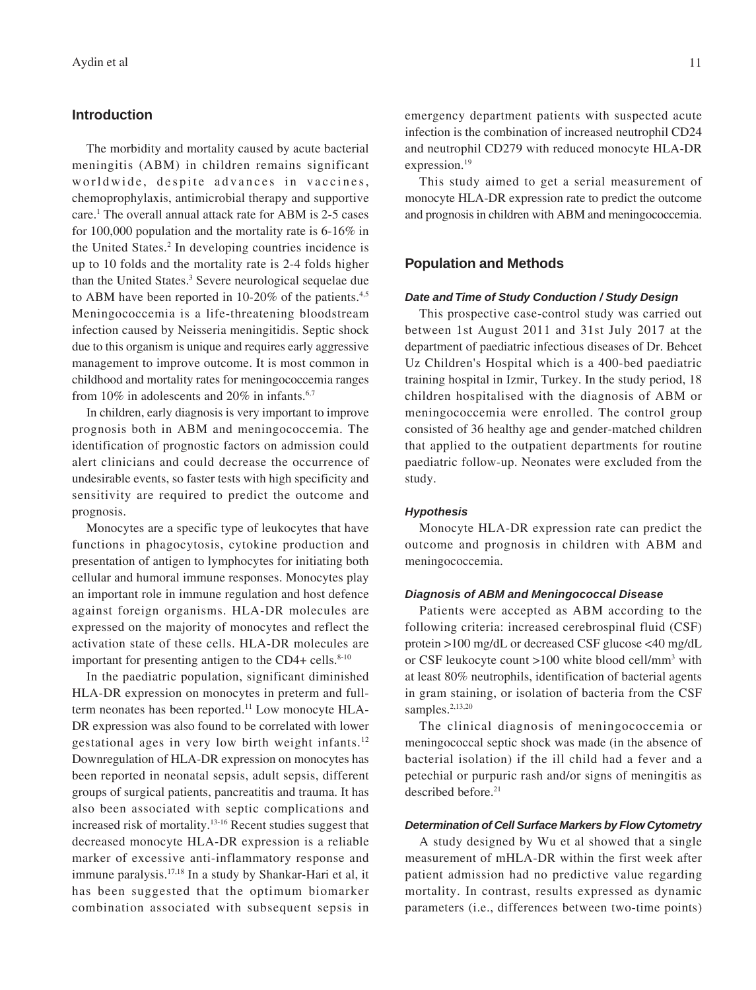#### **Introduction**

The morbidity and mortality caused by acute bacterial meningitis (ABM) in children remains significant worldwide, despite advances in vaccines, chemoprophylaxis, antimicrobial therapy and supportive care.1 The overall annual attack rate for ABM is 2-5 cases for 100,000 population and the mortality rate is 6-16% in the United States.<sup>2</sup> In developing countries incidence is up to 10 folds and the mortality rate is 2-4 folds higher than the United States.<sup>3</sup> Severe neurological sequelae due to ABM have been reported in 10-20% of the patients.<sup>4,5</sup> Meningococcemia is a life-threatening bloodstream infection caused by Neisseria meningitidis. Septic shock due to this organism is unique and requires early aggressive management to improve outcome. It is most common in childhood and mortality rates for meningococcemia ranges from 10% in adolescents and 20% in infants. $6,7$ 

In children, early diagnosis is very important to improve prognosis both in ABM and meningococcemia. The identification of prognostic factors on admission could alert clinicians and could decrease the occurrence of undesirable events, so faster tests with high specificity and sensitivity are required to predict the outcome and prognosis.

Monocytes are a specific type of leukocytes that have functions in phagocytosis, cytokine production and presentation of antigen to lymphocytes for initiating both cellular and humoral immune responses. Monocytes play an important role in immune regulation and host defence against foreign organisms. HLA-DR molecules are expressed on the majority of monocytes and reflect the activation state of these cells. HLA-DR molecules are important for presenting antigen to the CD4+ cells. $8-10$ 

In the paediatric population, significant diminished HLA-DR expression on monocytes in preterm and fullterm neonates has been reported.11 Low monocyte HLA-DR expression was also found to be correlated with lower gestational ages in very low birth weight infants.12 Downregulation of HLA-DR expression on monocytes has been reported in neonatal sepsis, adult sepsis, different groups of surgical patients, pancreatitis and trauma. It has also been associated with septic complications and increased risk of mortality.13-16 Recent studies suggest that decreased monocyte HLA-DR expression is a reliable marker of excessive anti-inflammatory response and immune paralysis.17,18 In a study by Shankar-Hari et al, it has been suggested that the optimum biomarker combination associated with subsequent sepsis in

emergency department patients with suspected acute infection is the combination of increased neutrophil CD24 and neutrophil CD279 with reduced monocyte HLA-DR expression.<sup>19</sup>

This study aimed to get a serial measurement of monocyte HLA-DR expression rate to predict the outcome and prognosis in children with ABM and meningococcemia.

#### **Population and Methods**

#### *Date and Time of Study Conduction / Study Design*

This prospective case-control study was carried out between 1st August 2011 and 31st July 2017 at the department of paediatric infectious diseases of Dr. Behcet Uz Children's Hospital which is a 400-bed paediatric training hospital in Izmir, Turkey. In the study period, 18 children hospitalised with the diagnosis of ABM or meningococcemia were enrolled. The control group consisted of 36 healthy age and gender-matched children that applied to the outpatient departments for routine paediatric follow-up. Neonates were excluded from the study.

#### *Hypothesis*

Monocyte HLA-DR expression rate can predict the outcome and prognosis in children with ABM and meningococcemia.

#### *Diagnosis of ABM and Meningococcal Disease*

Patients were accepted as ABM according to the following criteria: increased cerebrospinal fluid (CSF) protein >100 mg/dL or decreased CSF glucose <40 mg/dL or CSF leukocyte count >100 white blood cell/mm<sup>3</sup> with at least 80% neutrophils, identification of bacterial agents in gram staining, or isolation of bacteria from the CSF samples.<sup>2,13,20</sup>

The clinical diagnosis of meningococcemia or meningococcal septic shock was made (in the absence of bacterial isolation) if the ill child had a fever and a petechial or purpuric rash and/or signs of meningitis as described before.<sup>21</sup>

#### *Determination of Cell Surface Markers by Flow Cytometry*

A study designed by Wu et al showed that a single measurement of mHLA-DR within the first week after patient admission had no predictive value regarding mortality. In contrast, results expressed as dynamic parameters (i.e., differences between two-time points)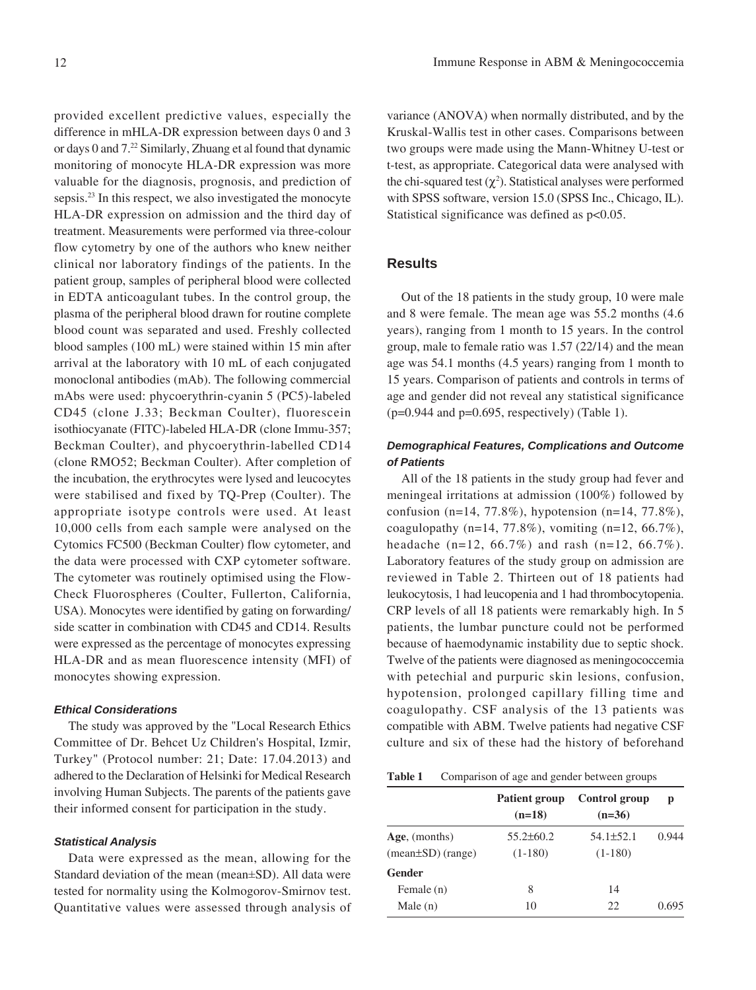provided excellent predictive values, especially the difference in mHLA-DR expression between days 0 and 3 or days 0 and 7.22 Similarly, Zhuang et al found that dynamic monitoring of monocyte HLA-DR expression was more valuable for the diagnosis, prognosis, and prediction of sepsis.<sup>23</sup> In this respect, we also investigated the monocyte HLA-DR expression on admission and the third day of treatment. Measurements were performed via three-colour flow cytometry by one of the authors who knew neither clinical nor laboratory findings of the patients. In the patient group, samples of peripheral blood were collected in EDTA anticoagulant tubes. In the control group, the plasma of the peripheral blood drawn for routine complete blood count was separated and used. Freshly collected blood samples (100 mL) were stained within 15 min after arrival at the laboratory with 10 mL of each conjugated monoclonal antibodies (mAb). The following commercial mAbs were used: phycoerythrin-cyanin 5 (PC5)-labeled CD45 (clone J.33; Beckman Coulter), fluorescein isothiocyanate (FITC)-labeled HLA-DR (clone Immu-357; Beckman Coulter), and phycoerythrin-labelled CD14 (clone RMO52; Beckman Coulter). After completion of the incubation, the erythrocytes were lysed and leucocytes were stabilised and fixed by TQ-Prep (Coulter). The appropriate isotype controls were used. At least 10,000 cells from each sample were analysed on the Cytomics FC500 (Beckman Coulter) flow cytometer, and the data were processed with CXP cytometer software. The cytometer was routinely optimised using the Flow-Check Fluorospheres (Coulter, Fullerton, California, USA). Monocytes were identified by gating on forwarding/ side scatter in combination with CD45 and CD14. Results were expressed as the percentage of monocytes expressing HLA-DR and as mean fluorescence intensity (MFI) of monocytes showing expression.

#### *Ethical Considerations*

The study was approved by the "Local Research Ethics Committee of Dr. Behcet Uz Children's Hospital, Izmir, Turkey" (Protocol number: 21; Date: 17.04.2013) and adhered to the Declaration of Helsinki for Medical Research involving Human Subjects. The parents of the patients gave their informed consent for participation in the study.

#### *Statistical Analysis*

Data were expressed as the mean, allowing for the Standard deviation of the mean (mean±SD). All data were tested for normality using the Kolmogorov-Smirnov test. Quantitative values were assessed through analysis of

variance (ANOVA) when normally distributed, and by the Kruskal-Wallis test in other cases. Comparisons between two groups were made using the Mann-Whitney U-test or t-test, as appropriate. Categorical data were analysed with the chi-squared test  $(\chi^2)$ . Statistical analyses were performed with SPSS software, version 15.0 (SPSS Inc., Chicago, IL). Statistical significance was defined as  $p<0.05$ .

#### **Results**

Out of the 18 patients in the study group, 10 were male and 8 were female. The mean age was 55.2 months (4.6 years), ranging from 1 month to 15 years. In the control group, male to female ratio was 1.57 (22/14) and the mean age was 54.1 months (4.5 years) ranging from 1 month to 15 years. Comparison of patients and controls in terms of age and gender did not reveal any statistical significance  $(p=0.944$  and  $p=0.695$ , respectively) (Table 1).

# *Demographical Features, Complications and Outcome of Patients*

All of the 18 patients in the study group had fever and meningeal irritations at admission (100%) followed by confusion (n=14, 77.8%), hypotension (n=14, 77.8%), coagulopathy (n=14, 77.8%), vomiting (n=12, 66.7%), headache (n=12, 66.7%) and rash (n=12, 66.7%). Laboratory features of the study group on admission are reviewed in Table 2. Thirteen out of 18 patients had leukocytosis, 1 had leucopenia and 1 had thrombocytopenia. CRP levels of all 18 patients were remarkably high. In 5 patients, the lumbar puncture could not be performed because of haemodynamic instability due to septic shock. Twelve of the patients were diagnosed as meningococcemia with petechial and purpuric skin lesions, confusion, hypotension, prolonged capillary filling time and coagulopathy. CSF analysis of the 13 patients was compatible with ABM. Twelve patients had negative CSF culture and six of these had the history of beforehand

| <b>Table 1</b> | Comparison of age and gender between groups |  |  |  |  |
|----------------|---------------------------------------------|--|--|--|--|
|----------------|---------------------------------------------|--|--|--|--|

|                                              | <b>Patient group</b><br>$(n=18)$ | Control group<br>$(n=36)$ | p     |
|----------------------------------------------|----------------------------------|---------------------------|-------|
| Age, (months)                                | 55.2±60.2                        | $54.1 \pm 52.1$           | 0.944 |
| $(\text{mean} \pm \text{SD}) (\text{range})$ | $(1-180)$                        | $(1-180)$                 |       |
| Gender                                       |                                  |                           |       |
| Female (n)                                   | 8                                | 14                        |       |
| Male $(n)$                                   | 10                               | 22                        | 0.695 |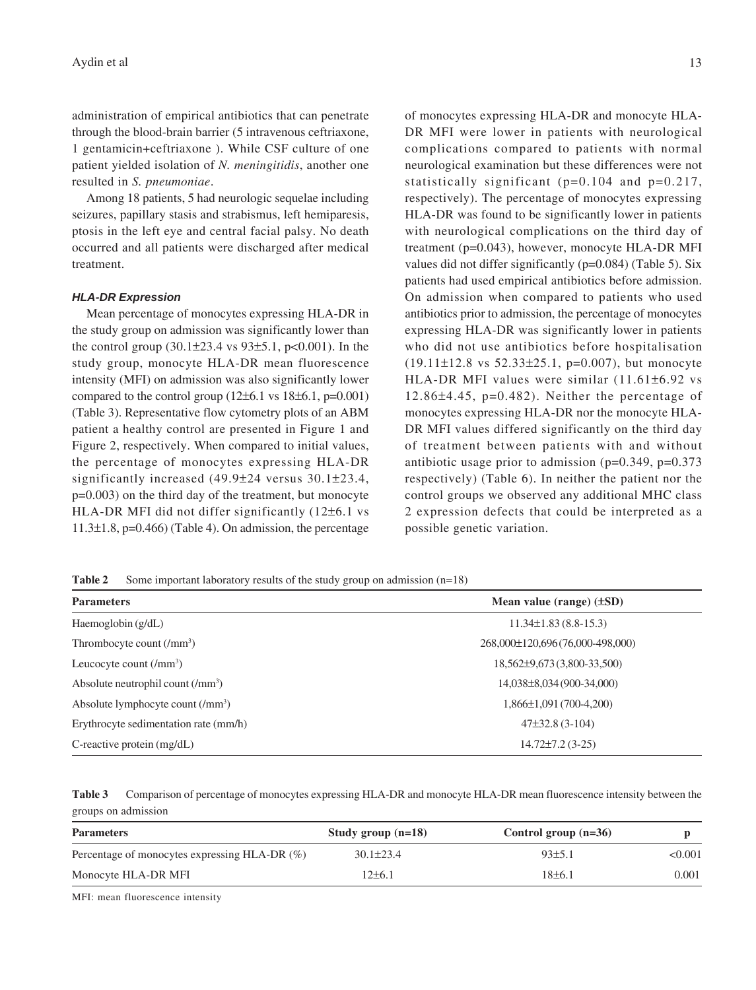administration of empirical antibiotics that can penetrate through the blood-brain barrier (5 intravenous ceftriaxone, 1 gentamicin+ceftriaxone ). While CSF culture of one patient yielded isolation of *N. meningitidis*, another one resulted in *S. pneumoniae*.

Among 18 patients, 5 had neurologic sequelae including seizures, papillary stasis and strabismus, left hemiparesis, ptosis in the left eye and central facial palsy. No death occurred and all patients were discharged after medical treatment.

#### *HLA-DR Expression*

Mean percentage of monocytes expressing HLA-DR in the study group on admission was significantly lower than the control group  $(30.1\pm 23.4 \text{ vs } 93\pm 5.1, \text{ p} < 0.001)$ . In the study group, monocyte HLA-DR mean fluorescence intensity (MFI) on admission was also significantly lower compared to the control group  $(12\pm6.1 \text{ vs } 18\pm6.1, \text{ p=0.001})$ (Table 3). Representative flow cytometry plots of an ABM patient a healthy control are presented in Figure 1 and Figure 2, respectively. When compared to initial values, the percentage of monocytes expressing HLA-DR significantly increased (49.9±24 versus 30.1±23.4, p=0.003) on the third day of the treatment, but monocyte HLA-DR MFI did not differ significantly (12±6.1 vs  $11.3\pm1.8$ , p=0.466) (Table 4). On admission, the percentage

of monocytes expressing HLA-DR and monocyte HLA-DR MFI were lower in patients with neurological complications compared to patients with normal neurological examination but these differences were not statistically significant ( $p=0.104$  and  $p=0.217$ , respectively). The percentage of monocytes expressing

HLA-DR was found to be significantly lower in patients with neurological complications on the third day of treatment (p=0.043), however, monocyte HLA-DR MFI values did not differ significantly (p=0.084) (Table 5). Six patients had used empirical antibiotics before admission. On admission when compared to patients who used antibiotics prior to admission, the percentage of monocytes expressing HLA-DR was significantly lower in patients who did not use antibiotics before hospitalisation  $(19.11\pm12.8 \text{ vs } 52.33\pm25.1, \text{ p=0.007}), \text{ but monocyte}$ HLA-DR MFI values were similar (11.61±6.92 vs  $12.86\pm4.45$ ,  $p=0.482$ ). Neither the percentage of monocytes expressing HLA-DR nor the monocyte HLA-DR MFI values differed significantly on the third day of treatment between patients with and without antibiotic usage prior to admission (p=0.349, p=0.373 respectively) (Table 6). In neither the patient nor the control groups we observed any additional MHC class 2 expression defects that could be interpreted as a possible genetic variation.

**Table 2** Some important laboratory results of the study group on admission (n=18)

| <b>Parameters</b>                             | Mean value (range) $(\pm SD)$   |
|-----------------------------------------------|---------------------------------|
| Haemoglobin (g/dL)                            | $11.34\pm1.83(8.8-15.3)$        |
| Thrombocyte count $(/mm3)$                    | 268,000±120,696(76,000-498,000) |
| Leucocyte count $(\text{/mm}^3)$              | 18,562±9,673(3,800-33,500)      |
| Absolute neutrophil count (/mm <sup>3</sup> ) | 14,038±8,034 (900-34,000)       |
| Absolute lymphocyte count (/mm <sup>3</sup> ) | $1,866\pm1,091(700-4,200)$      |
| Erythrocyte sedimentation rate (mm/h)         | $47\pm32.8$ (3-104)             |
| C-reactive protein $(mg/dL)$                  | $14.72 \pm 7.2$ (3-25)          |

| Table 3 Comparison of percentage of monocytes expressing HLA-DR and monocyte HLA-DR mean fluorescence intensity between the |
|-----------------------------------------------------------------------------------------------------------------------------|
| groups on admission                                                                                                         |

| Study group $(n=18)$ | Control group $(n=36)$ |         |
|----------------------|------------------------|---------|
| $30.1 \pm 23.4$      | 93±5.1                 | < 0.001 |
| 12±6.1               | 18±6.1                 | 0.001   |
|                      |                        |         |

MFI: mean fluorescence intensity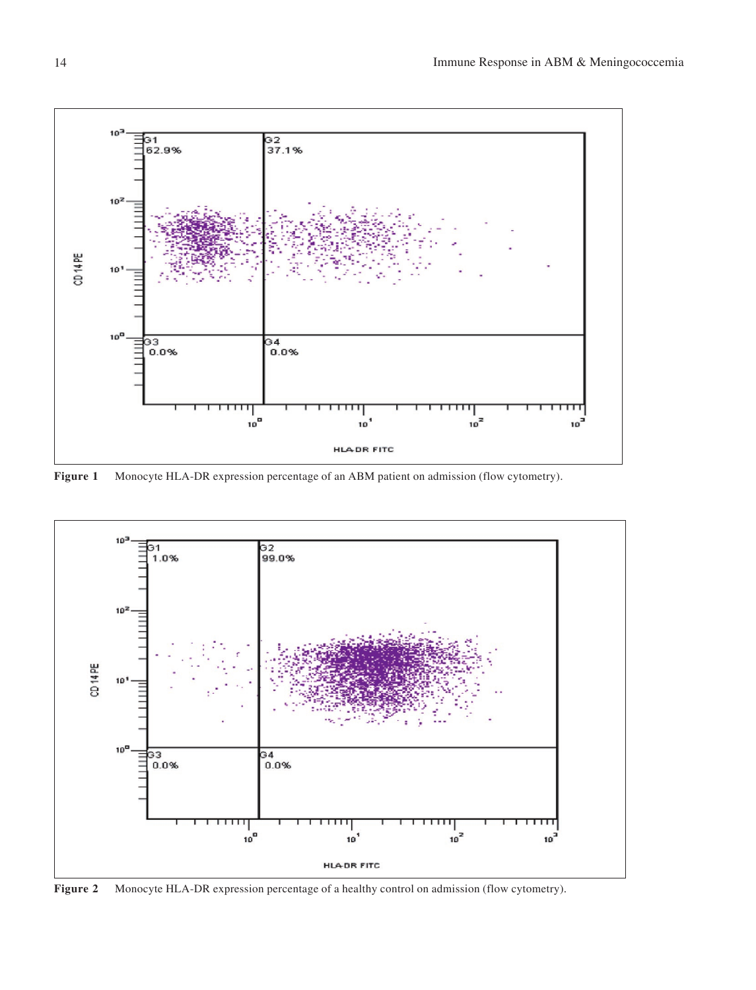

**Figure 1** Monocyte HLA-DR expression percentage of an ABM patient on admission (flow cytometry).



**Figure 2** Monocyte HLA-DR expression percentage of a healthy control on admission (flow cytometry).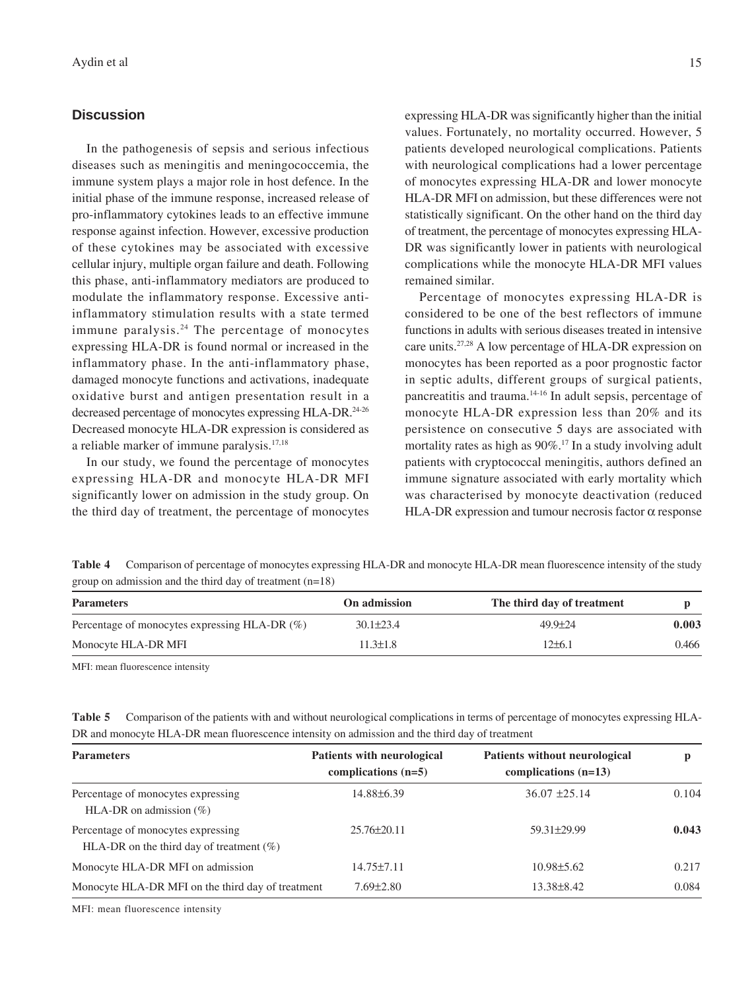#### **Discussion**

In the pathogenesis of sepsis and serious infectious diseases such as meningitis and meningococcemia, the immune system plays a major role in host defence. In the initial phase of the immune response, increased release of pro-inflammatory cytokines leads to an effective immune response against infection. However, excessive production of these cytokines may be associated with excessive cellular injury, multiple organ failure and death. Following this phase, anti-inflammatory mediators are produced to modulate the inflammatory response. Excessive antiinflammatory stimulation results with a state termed immune paralysis.24 The percentage of monocytes expressing HLA-DR is found normal or increased in the inflammatory phase. In the anti-inflammatory phase, damaged monocyte functions and activations, inadequate oxidative burst and antigen presentation result in a decreased percentage of monocytes expressing HLA-DR.<sup>24-26</sup> Decreased monocyte HLA-DR expression is considered as a reliable marker of immune paralysis.17,18

In our study, we found the percentage of monocytes expressing HLA-DR and monocyte HLA-DR MFI significantly lower on admission in the study group. On the third day of treatment, the percentage of monocytes expressing HLA-DR was significantly higher than the initial values. Fortunately, no mortality occurred. However, 5 patients developed neurological complications. Patients with neurological complications had a lower percentage of monocytes expressing HLA-DR and lower monocyte HLA-DR MFI on admission, but these differences were not statistically significant. On the other hand on the third day of treatment, the percentage of monocytes expressing HLA-DR was significantly lower in patients with neurological complications while the monocyte HLA-DR MFI values remained similar.

Percentage of monocytes expressing HLA-DR is considered to be one of the best reflectors of immune functions in adults with serious diseases treated in intensive care units.27,28 A low percentage of HLA-DR expression on monocytes has been reported as a poor prognostic factor in septic adults, different groups of surgical patients, pancreatitis and trauma.14-16 In adult sepsis, percentage of monocyte HLA-DR expression less than 20% and its persistence on consecutive 5 days are associated with mortality rates as high as 90%.<sup>17</sup> In a study involving adult patients with cryptococcal meningitis, authors defined an immune signature associated with early mortality which was characterised by monocyte deactivation (reduced HLA-DR expression and tumour necrosis factor  $\alpha$  response

**Table 4** Comparison of percentage of monocytes expressing HLA-DR and monocyte HLA-DR mean fluorescence intensity of the study group on admission and the third day of treatment (n=18)

| <b>Parameters</b>                                | On admission    | The third day of treatment |       |
|--------------------------------------------------|-----------------|----------------------------|-------|
| Percentage of monocytes expressing HLA-DR $(\%)$ | $30.1 \pm 23.4$ | $49.9 \pm 24$              | 0.003 |
| Monocyte HLA-DR MFI                              | 11.3±1.8        | $12\pm 6.1$                | 0.466 |

MFI: mean fluorescence intensity

| Table 5 Comparison of the patients with and without neurological complications in terms of percentage of monocytes expressing HLA- |
|------------------------------------------------------------------------------------------------------------------------------------|
| DR and monocyte HLA-DR mean fluorescence intensity on admission and the third day of treatment                                     |

| <b>Parameters</b>                                                                 | <b>Patients with neurological</b><br>complications $(n=5)$ | Patients without neurological<br>complications $(n=13)$ |       |
|-----------------------------------------------------------------------------------|------------------------------------------------------------|---------------------------------------------------------|-------|
| Percentage of monocytes expressing<br>HLA-DR on admission $(\% )$                 | 14.88±6.39                                                 | $36.07 \pm 25.14$                                       | 0.104 |
| Percentage of monocytes expressing<br>HLA-DR on the third day of treatment $(\%)$ | $25.76 \pm 20.11$                                          | 59.31±29.99                                             | 0.043 |
| Monocyte HLA-DR MFI on admission                                                  | $14.75 \pm 7.11$                                           | $10.98 \pm 5.62$                                        | 0.217 |
| Monocyte HLA-DR MFI on the third day of treatment                                 | $7.69 \pm 2.80$                                            | 13.38 ± 8.42                                            | 0.084 |

MFI: mean fluorescence intensity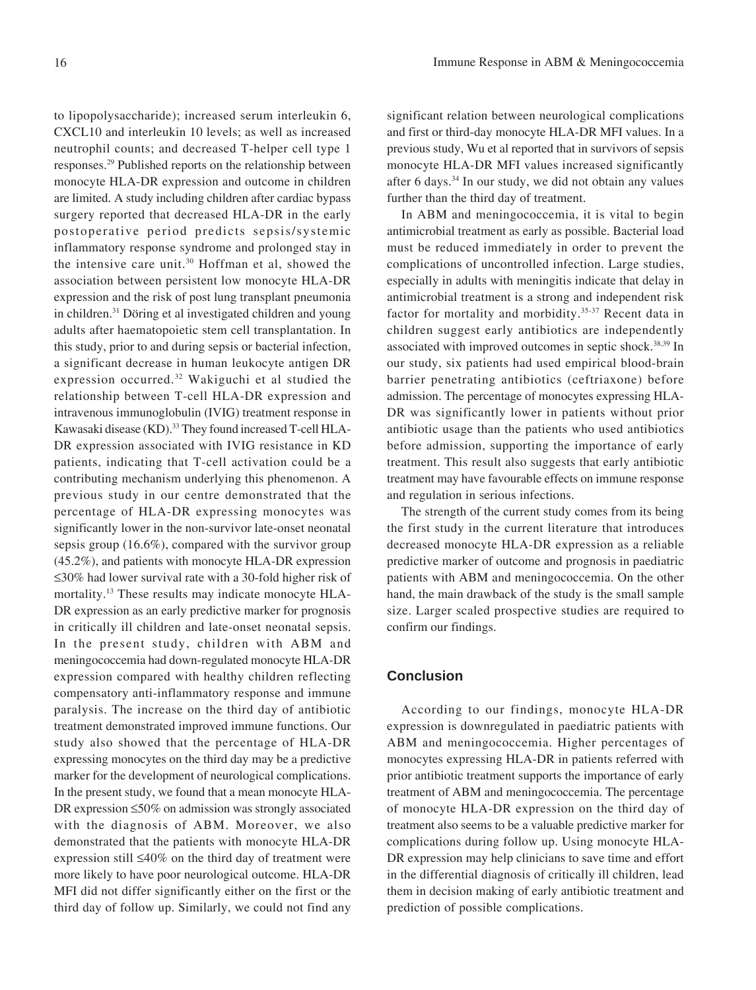to lipopolysaccharide); increased serum interleukin 6, CXCL10 and interleukin 10 levels; as well as increased neutrophil counts; and decreased T-helper cell type 1 responses.29 Published reports on the relationship between monocyte HLA-DR expression and outcome in children are limited. A study including children after cardiac bypass surgery reported that decreased HLA-DR in the early postoperative period predicts sepsis/systemic inflammatory response syndrome and prolonged stay in the intensive care unit.30 Hoffman et al, showed the association between persistent low monocyte HLA-DR expression and the risk of post lung transplant pneumonia in children.31 Döring et al investigated children and young adults after haematopoietic stem cell transplantation. In this study, prior to and during sepsis or bacterial infection, a significant decrease in human leukocyte antigen DR expression occurred.32 Wakiguchi et al studied the relationship between T-cell HLA-DR expression and intravenous immunoglobulin (IVIG) treatment response in Kawasaki disease (KD).<sup>33</sup> They found increased T-cell HLA-DR expression associated with IVIG resistance in KD patients, indicating that T-cell activation could be a contributing mechanism underlying this phenomenon. A previous study in our centre demonstrated that the percentage of HLA-DR expressing monocytes was significantly lower in the non-survivor late-onset neonatal sepsis group (16.6%), compared with the survivor group (45.2%), and patients with monocyte HLA-DR expression ≤30% had lower survival rate with a 30-fold higher risk of mortality.13 These results may indicate monocyte HLA-DR expression as an early predictive marker for prognosis in critically ill children and late-onset neonatal sepsis. In the present study, children with ABM and meningococcemia had down-regulated monocyte HLA-DR expression compared with healthy children reflecting compensatory anti-inflammatory response and immune paralysis. The increase on the third day of antibiotic treatment demonstrated improved immune functions. Our study also showed that the percentage of HLA-DR expressing monocytes on the third day may be a predictive marker for the development of neurological complications. In the present study, we found that a mean monocyte HLA-DR expression ≤50% on admission was strongly associated with the diagnosis of ABM. Moreover, we also demonstrated that the patients with monocyte HLA-DR expression still ≤40% on the third day of treatment were more likely to have poor neurological outcome. HLA-DR MFI did not differ significantly either on the first or the third day of follow up. Similarly, we could not find any

significant relation between neurological complications and first or third-day monocyte HLA-DR MFI values. In a previous study, Wu et al reported that in survivors of sepsis monocyte HLA-DR MFI values increased significantly after 6 days.34 In our study, we did not obtain any values further than the third day of treatment.

In ABM and meningococcemia, it is vital to begin antimicrobial treatment as early as possible. Bacterial load must be reduced immediately in order to prevent the complications of uncontrolled infection. Large studies, especially in adults with meningitis indicate that delay in antimicrobial treatment is a strong and independent risk factor for mortality and morbidity.<sup>35-37</sup> Recent data in children suggest early antibiotics are independently associated with improved outcomes in septic shock.38,39 In our study, six patients had used empirical blood-brain barrier penetrating antibiotics (ceftriaxone) before admission. The percentage of monocytes expressing HLA-DR was significantly lower in patients without prior antibiotic usage than the patients who used antibiotics before admission, supporting the importance of early treatment. This result also suggests that early antibiotic treatment may have favourable effects on immune response and regulation in serious infections.

The strength of the current study comes from its being the first study in the current literature that introduces decreased monocyte HLA-DR expression as a reliable predictive marker of outcome and prognosis in paediatric patients with ABM and meningococcemia. On the other hand, the main drawback of the study is the small sample size. Larger scaled prospective studies are required to confirm our findings.

# **Conclusion**

According to our findings, monocyte HLA-DR expression is downregulated in paediatric patients with ABM and meningococcemia. Higher percentages of monocytes expressing HLA-DR in patients referred with prior antibiotic treatment supports the importance of early treatment of ABM and meningococcemia. The percentage of monocyte HLA-DR expression on the third day of treatment also seems to be a valuable predictive marker for complications during follow up. Using monocyte HLA-DR expression may help clinicians to save time and effort in the differential diagnosis of critically ill children, lead them in decision making of early antibiotic treatment and prediction of possible complications.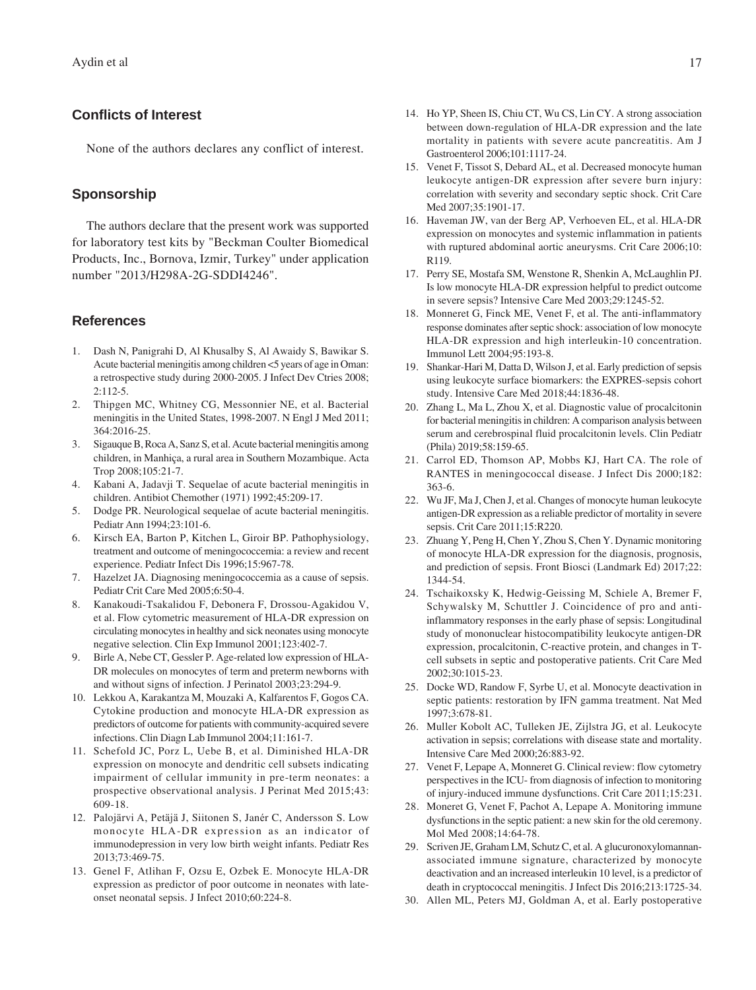### **Conflicts of Interest**

None of the authors declares any conflict of interest.

#### **Sponsorship**

The authors declare that the present work was supported for laboratory test kits by "Beckman Coulter Biomedical Products, Inc., Bornova, Izmir, Turkey" under application number "2013/H298A-2G-SDDI4246".

#### **References**

- 1. Dash N, Panigrahi D, Al Khusalby S, Al Awaidy S, Bawikar S. Acute bacterial meningitis among children <5 years of age in Oman: a retrospective study during 2000-2005. J Infect Dev Ctries 2008; 2:112-5.
- 2. Thipgen MC, Whitney CG, Messonnier NE, et al. Bacterial meningitis in the United States, 1998-2007. N Engl J Med 2011; 364:2016-25.
- 3. Sigauque B, Roca A, Sanz S, et al. Acute bacterial meningitis among children, in Manhiça, a rural area in Southern Mozambique. Acta Trop 2008;105:21-7.
- 4. Kabani A, Jadavji T. Sequelae of acute bacterial meningitis in children. Antibiot Chemother (1971) 1992;45:209-17.
- 5. Dodge PR. Neurological sequelae of acute bacterial meningitis. Pediatr Ann 1994;23:101-6.
- 6. Kirsch EA, Barton P, Kitchen L, Giroir BP. Pathophysiology, treatment and outcome of meningococcemia: a review and recent experience. Pediatr Infect Dis 1996;15:967-78.
- 7. Hazelzet JA. Diagnosing meningococcemia as a cause of sepsis. Pediatr Crit Care Med 2005;6:50-4.
- 8. Kanakoudi-Tsakalidou F, Debonera F, Drossou-Agakidou V, et al. Flow cytometric measurement of HLA-DR expression on circulating monocytes in healthy and sick neonates using monocyte negative selection. Clin Exp Immunol 2001;123:402-7.
- 9. Birle A, Nebe CT, Gessler P. Age-related low expression of HLA-DR molecules on monocytes of term and preterm newborns with and without signs of infection. J Perinatol 2003;23:294-9.
- 10. Lekkou A, Karakantza M, Mouzaki A, Kalfarentos F, Gogos CA. Cytokine production and monocyte HLA-DR expression as predictors of outcome for patients with community-acquired severe infections. Clin Diagn Lab Immunol 2004;11:161-7.
- 11. Schefold JC, Porz L, Uebe B, et al. Diminished HLA-DR expression on monocyte and dendritic cell subsets indicating impairment of cellular immunity in pre-term neonates: a prospective observational analysis. J Perinat Med 2015;43: 609-18.
- 12. Palojärvi A, Petäjä J, Siitonen S, Janér C, Andersson S. Low monocyte HLA-DR expression as an indicator of immunodepression in very low birth weight infants. Pediatr Res 2013;73:469-75.
- 13. Genel F, Atlihan F, Ozsu E, Ozbek E. Monocyte HLA-DR expression as predictor of poor outcome in neonates with lateonset neonatal sepsis. J Infect 2010;60:224-8.
- 14. Ho YP, Sheen IS, Chiu CT, Wu CS, Lin CY. A strong association between down-regulation of HLA-DR expression and the late mortality in patients with severe acute pancreatitis. Am J Gastroenterol 2006;101:1117-24.
- 15. Venet F, Tissot S, Debard AL, et al. Decreased monocyte human leukocyte antigen-DR expression after severe burn injury: correlation with severity and secondary septic shock. Crit Care Med 2007;35:1901-17.
- 16. Haveman JW, van der Berg AP, Verhoeven EL, et al. HLA-DR expression on monocytes and systemic inflammation in patients with ruptured abdominal aortic aneurysms. Crit Care 2006;10: R119.
- 17. Perry SE, Mostafa SM, Wenstone R, Shenkin A, McLaughlin PJ. Is low monocyte HLA-DR expression helpful to predict outcome in severe sepsis? Intensive Care Med 2003;29:1245-52.
- 18. Monneret G, Finck ME, Venet F, et al. The anti-inflammatory response dominates after septic shock: association of low monocyte HLA-DR expression and high interleukin-10 concentration. Immunol Lett 2004;95:193-8.
- 19. Shankar-Hari M, Datta D, Wilson J, et al. Early prediction of sepsis using leukocyte surface biomarkers: the EXPRES-sepsis cohort study. Intensive Care Med 2018;44:1836-48.
- 20. Zhang L, Ma L, Zhou X, et al. Diagnostic value of procalcitonin for bacterial meningitis in children: A comparison analysis between serum and cerebrospinal fluid procalcitonin levels. Clin Pediatr (Phila) 2019;58:159-65.
- 21. Carrol ED, Thomson AP, Mobbs KJ, Hart CA. The role of RANTES in meningococcal disease. J Infect Dis 2000;182: 363-6.
- 22. Wu JF, Ma J, Chen J, et al. Changes of monocyte human leukocyte antigen-DR expression as a reliable predictor of mortality in severe sepsis. Crit Care 2011;15:R220.
- 23. Zhuang Y, Peng H, Chen Y, Zhou S, Chen Y. Dynamic monitoring of monocyte HLA-DR expression for the diagnosis, prognosis, and prediction of sepsis. Front Biosci (Landmark Ed) 2017;22: 1344-54.
- 24. Tschaikoxsky K, Hedwig-Geissing M, Schiele A, Bremer F, Schywalsky M, Schuttler J. Coincidence of pro and antiinflammatory responses in the early phase of sepsis: Longitudinal study of mononuclear histocompatibility leukocyte antigen-DR expression, procalcitonin, C-reactive protein, and changes in Tcell subsets in septic and postoperative patients. Crit Care Med 2002;30:1015-23.
- 25. Docke WD, Randow F, Syrbe U, et al. Monocyte deactivation in septic patients: restoration by IFN gamma treatment. Nat Med 1997;3:678-81.
- 26. Muller Kobolt AC, Tulleken JE, Zijlstra JG, et al. Leukocyte activation in sepsis; correlations with disease state and mortality. Intensive Care Med 2000;26:883-92.
- 27. Venet F, Lepape A, Monneret G. Clinical review: flow cytometry perspectives in the ICU- from diagnosis of infection to monitoring of injury-induced immune dysfunctions. Crit Care 2011;15:231.
- 28. Moneret G, Venet F, Pachot A, Lepape A. Monitoring immune dysfunctions in the septic patient: a new skin for the old ceremony. Mol Med 2008;14:64-78.
- 29. Scriven JE, Graham LM, Schutz C, et al. A glucuronoxylomannanassociated immune signature, characterized by monocyte deactivation and an increased interleukin 10 level, is a predictor of death in cryptococcal meningitis. J Infect Dis 2016;213:1725-34.
- 30. Allen ML, Peters MJ, Goldman A, et al. Early postoperative